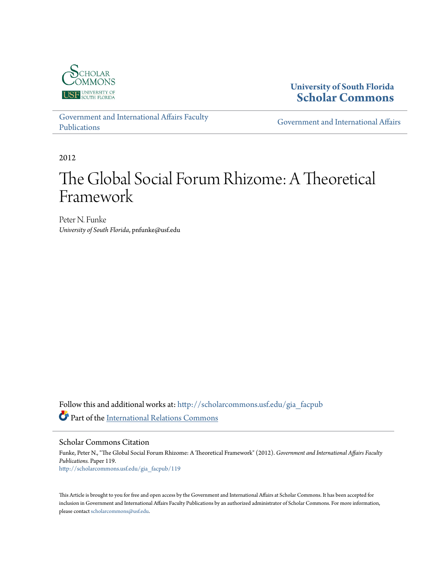

**University of South Florida [Scholar Commons](http://scholarcommons.usf.edu?utm_source=scholarcommons.usf.edu%2Fgia_facpub%2F119&utm_medium=PDF&utm_campaign=PDFCoverPages)**

[Government and International Affairs Faculty](http://scholarcommons.usf.edu/gia_facpub?utm_source=scholarcommons.usf.edu%2Fgia_facpub%2F119&utm_medium=PDF&utm_campaign=PDFCoverPages) [Publications](http://scholarcommons.usf.edu/gia_facpub?utm_source=scholarcommons.usf.edu%2Fgia_facpub%2F119&utm_medium=PDF&utm_campaign=PDFCoverPages)

[Government and International Affairs](http://scholarcommons.usf.edu/gia?utm_source=scholarcommons.usf.edu%2Fgia_facpub%2F119&utm_medium=PDF&utm_campaign=PDFCoverPages)

2012

# The Global Social Forum Rhizome: A Theoretical Framework

Peter N. Funke *University of South Florida*, pnfunke@usf.edu

Follow this and additional works at: [http://scholarcommons.usf.edu/gia\\_facpub](http://scholarcommons.usf.edu/gia_facpub?utm_source=scholarcommons.usf.edu%2Fgia_facpub%2F119&utm_medium=PDF&utm_campaign=PDFCoverPages) Part of the [International Relations Commons](http://network.bepress.com/hgg/discipline/389?utm_source=scholarcommons.usf.edu%2Fgia_facpub%2F119&utm_medium=PDF&utm_campaign=PDFCoverPages)

Scholar Commons Citation

Funke, Peter N., "The Global Social Forum Rhizome: A Theoretical Framework" (2012). *Government and International Affairs Faculty Publications.* Paper 119. [http://scholarcommons.usf.edu/gia\\_facpub/119](http://scholarcommons.usf.edu/gia_facpub/119?utm_source=scholarcommons.usf.edu%2Fgia_facpub%2F119&utm_medium=PDF&utm_campaign=PDFCoverPages)

This Article is brought to you for free and open access by the Government and International Affairs at Scholar Commons. It has been accepted for inclusion in Government and International Affairs Faculty Publications by an authorized administrator of Scholar Commons. For more information, please contact [scholarcommons@usf.edu.](mailto:scholarcommons@usf.edu)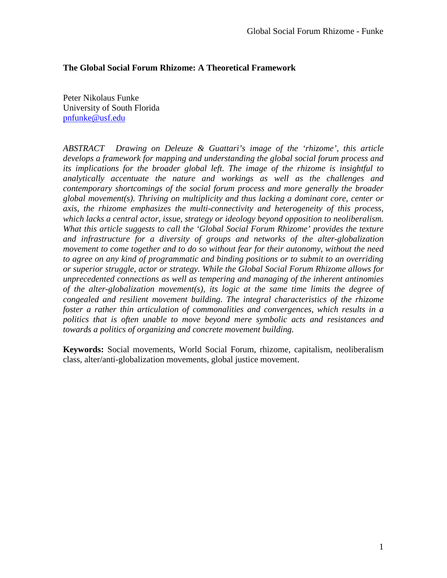### **The Global Social Forum Rhizome: A Theoretical Framework**

Peter Nikolaus Funke University of South Florida [pnfunke@usf.edu](mailto:pnfunke@usf.edu)

*ABSTRACT Drawing on Deleuze & Guattari's image of the 'rhizome', this article develops a framework for mapping and understanding the global social forum process and its implications for the broader global left. The image of the rhizome is insightful to analytically accentuate the nature and workings as well as the challenges and contemporary shortcomings of the social forum process and more generally the broader global movement(s). Thriving on multiplicity and thus lacking a dominant core, center or axis, the rhizome emphasizes the multi-connectivity and heterogeneity of this process, which lacks a central actor, issue, strategy or ideology beyond opposition to neoliberalism. What this article suggests to call the 'Global Social Forum Rhizome' provides the texture and infrastructure for a diversity of groups and networks of the alter-globalization movement to come together and to do so without fear for their autonomy, without the need to agree on any kind of programmatic and binding positions or to submit to an overriding or superior struggle, actor or strategy. While the Global Social Forum Rhizome allows for unprecedented connections as well as tempering and managing of the inherent antinomies of the alter-globalization movement(s), its logic at the same time limits the degree of congealed and resilient movement building. The integral characteristics of the rhizome foster a rather thin articulation of commonalities and convergences, which results in a politics that is often unable to move beyond mere symbolic acts and resistances and towards a politics of organizing and concrete movement building.*

**Keywords:** Social movements, World Social Forum, rhizome, capitalism, neoliberalism class, alter/anti-globalization movements, global justice movement.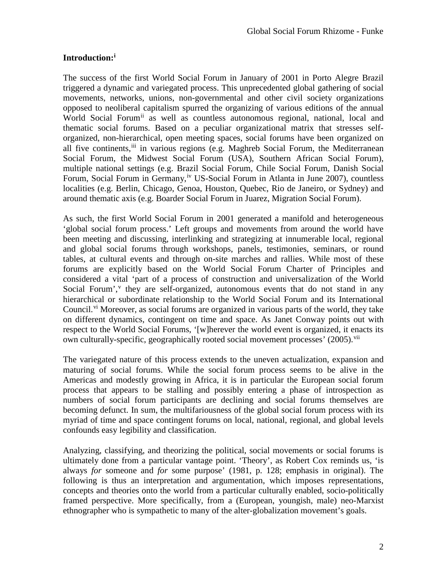# **Introduction:[i](#page-5-0)**

The success of the first World Social Forum in January of 2001 in Porto Alegre Brazil triggered a dynamic and variegated process. This unprecedented global gathering of social movements, networks, unions, non-governmental and other civil society organizations opposed to neoliberal capitalism spurred the organizing of various editions of the annual World Social Forum<sup>[ii](#page-5-1)</sup> as well as countless autonomous regional, national, local and thematic social forums. Based on a peculiar organizational matrix that stresses selforganized, non-hierarchical, open meeting spaces, social forums have been organized on all five continents, in various regions (e.g. Maghreb Social Forum, the Mediterranean Social Forum, the Midwest Social Forum (USA), Southern African Social Forum), multiple national settings (e.g. Brazil Social Forum, Chile Social Forum, Danish Social Forum, Social Forum in Germany,<sup>[iv](#page-5-3)</sup> US-Social Forum in Atlanta in June 2007), countless localities (e.g. Berlin, Chicago, Genoa, Houston, Quebec, Rio de Janeiro, or Sydney) and around thematic axis (e.g. Boarder Social Forum in Juarez, Migration Social Forum).

As such, the first World Social Forum in 2001 generated a manifold and heterogeneous 'global social forum process.' Left groups and movements from around the world have been meeting and discussing, interlinking and strategizing at innumerable local, regional and global social forums through workshops, panels, testimonies, seminars, or round tables, at cultural events and through on-site marches and rallies. While most of these forums are explicitly based on the World Social Forum Charter of Principles and considered a vital 'part of a process of construction and universalization of the World Social Forum',<sup>[v](#page-5-4)</sup> they are self-organized, autonomous events that do not stand in any hierarchical or subordinate relationship to the World Social Forum and its International Council.<sup>[vi](#page-5-5)</sup> Moreover, as social forums are organized in various parts of the world, they take on different dynamics, contingent on time and space. As Janet Conway points out with respect to the World Social Forums, '[w]herever the world event is organized, it enacts its own culturally-specific, geographically rooted social movement processes' (2005).<sup>[vii](#page-5-6)</sup>

The variegated nature of this process extends to the uneven actualization, expansion and maturing of social forums. While the social forum process seems to be alive in the Americas and modestly growing in Africa, it is in particular the European social forum process that appears to be stalling and possibly entering a phase of introspection as numbers of social forum participants are declining and social forums themselves are becoming defunct. In sum, the multifariousness of the global social forum process with its myriad of time and space contingent forums on local, national, regional, and global levels confounds easy legibility and classification.

Analyzing, classifying, and theorizing the political, social movements or social forums is ultimately done from a particular vantage point. 'Theory', as Robert Cox reminds us, 'is always *for* someone and *for* some purpose' (1981, p. 128; emphasis in original). The following is thus an interpretation and argumentation, which imposes representations, concepts and theories onto the world from a particular culturally enabled, socio-politically framed perspective. More specifically, from a (European, youngish, male) neo-Marxist ethnographer who is sympathetic to many of the alter-globalization movement's goals.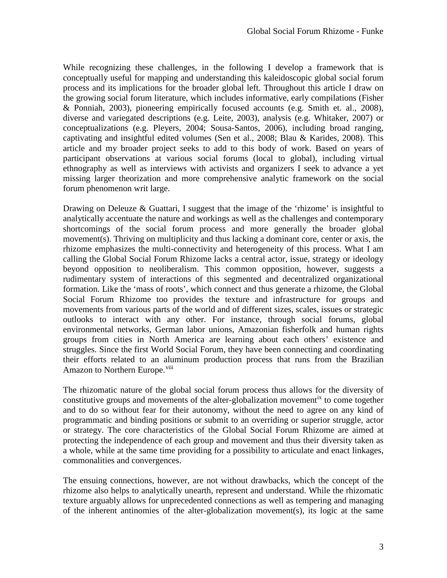While recognizing these challenges, in the following I develop a framework that is conceptually useful for mapping and understanding this kaleidoscopic global social forum process and its implications for the broader global left. Throughout this article I draw on the growing social forum literature, which includes informative, early compilations (Fisher & Ponniah, 2003), pioneering empirically focused accounts (e.g. Smith et. al., 2008), diverse and variegated descriptions (e.g. Leite, 2003), analysis (e.g. Whitaker, 2007) or conceptualizations (e.g. Pleyers, 2004; Sousa-Santos, 2006), including broad ranging, captivating and insightful edited volumes (Sen et al., 2008; Blau & Karides, 2008). This article and my broader project seeks to add to this body of work. Based on years of participant observations at various social forums (local to global), including virtual ethnography as well as interviews with activists and organizers I seek to advance a yet missing larger theorization and more comprehensive analytic framework on the social forum phenomenon writ large.

Drawing on Deleuze & Guattari, I suggest that the image of the 'rhizome' is insightful to analytically accentuate the nature and workings as well as the challenges and contemporary shortcomings of the social forum process and more generally the broader global movement(s). Thriving on multiplicity and thus lacking a dominant core, center or axis, the rhizome emphasizes the multi-connectivity and heterogeneity of this process. What I am calling the Global Social Forum Rhizome lacks a central actor, issue, strategy or ideology beyond opposition to neoliberalism. This common opposition, however, suggests a rudimentary system of interactions of this segmented and decentralized organizational formation. Like the 'mass of roots', which connect and thus generate a rhizome, the Global Social Forum Rhizome too provides the texture and infrastructure for groups and movements from various parts of the world and of different sizes, scales, issues or strategic outlooks to interact with any other. For instance, through social forums, global environmental networks, German labor unions, Amazonian fisherfolk and human rights groups from cities in North America are learning about each others' existence and struggles. Since the first World Social Forum, they have been connecting and coordinating their efforts related to an aluminum production process that runs from the Brazilian Amazon to Northern Europe.<sup>[viii](#page-5-7)</sup>

The rhizomatic nature of the global social forum process thus allows for the diversity of constitutive groups and movements of the alter-globalization movement<sup>[ix](#page-5-8)</sup> to come together and to do so without fear for their autonomy, without the need to agree on any kind of programmatic and binding positions or submit to an overriding or superior struggle, actor or strategy. The core characteristics of the Global Social Forum Rhizome are aimed at protecting the independence of each group and movement and thus their diversity taken as a whole, while at the same time providing for a possibility to articulate and enact linkages, commonalities and convergences.

The ensuing connections, however, are not without drawbacks, which the concept of the rhizome also helps to analytically unearth, represent and understand. While the rhizomatic texture arguably allows for unprecedented connections as well as tempering and managing of the inherent antinomies of the alter-globalization movement(s), its logic at the same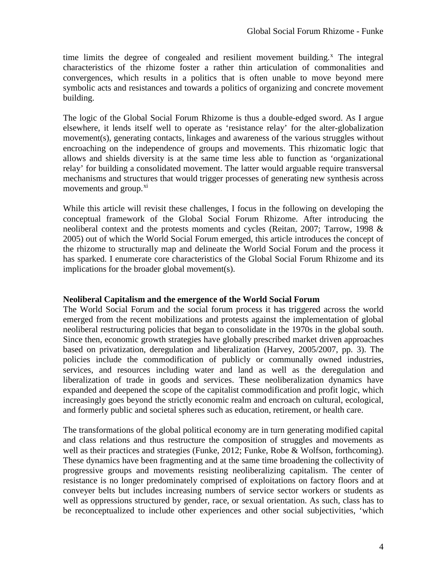time limits the degree of congealed and resilient movement building.<sup> $x$ </sup> The integral characteristics of the rhizome foster a rather thin articulation of commonalities and convergences, which results in a politics that is often unable to move beyond mere symbolic acts and resistances and towards a politics of organizing and concrete movement building.

The logic of the Global Social Forum Rhizome is thus a double-edged sword. As I argue elsewhere, it lends itself well to operate as 'resistance relay' for the alter-globalization movement(s), generating contacts, linkages and awareness of the various struggles without encroaching on the independence of groups and movements. This rhizomatic logic that allows and shields diversity is at the same time less able to function as 'organizational relay' for building a consolidated movement. The latter would arguable require transversal mechanisms and structures that would trigger processes of generating new synthesis across movements and group.<sup>[xi](#page-6-1)</sup>

While this article will revisit these challenges, I focus in the following on developing the conceptual framework of the Global Social Forum Rhizome. After introducing the neoliberal context and the protests moments and cycles (Reitan, 2007; Tarrow, 1998 & 2005) out of which the World Social Forum emerged, this article introduces the concept of the rhizome to structurally map and delineate the World Social Forum and the process it has sparked. I enumerate core characteristics of the Global Social Forum Rhizome and its implications for the broader global movement(s).

#### **Neoliberal Capitalism and the emergence of the World Social Forum**

The World Social Forum and the social forum process it has triggered across the world emerged from the recent mobilizations and protests against the implementation of global neoliberal restructuring policies that began to consolidate in the 1970s in the global south. Since then, economic growth strategies have globally prescribed market driven approaches based on privatization, deregulation and liberalization (Harvey, 2005/2007, pp. 3). The policies include the commodification of publicly or communally owned industries, services, and resources including water and land as well as the deregulation and liberalization of trade in goods and services. These neoliberalization dynamics have expanded and deepened the scope of the capitalist commodification and profit logic, which increasingly goes beyond the strictly economic realm and encroach on cultural, ecological, and formerly public and societal spheres such as education, retirement, or health care.

The transformations of the global political economy are in turn generating modified capital and class relations and thus restructure the composition of struggles and movements as well as their practices and strategies (Funke, 2012; Funke, Robe & Wolfson, forthcoming). These dynamics have been fragmenting and at the same time broadening the collectivity of progressive groups and movements resisting neoliberalizing capitalism. The center of resistance is no longer predominately comprised of exploitations on factory floors and at conveyer belts but includes increasing numbers of service sector workers or students as well as oppressions structured by gender, race, or sexual orientation. As such, class has to be reconceptualized to include other experiences and other social subjectivities, 'which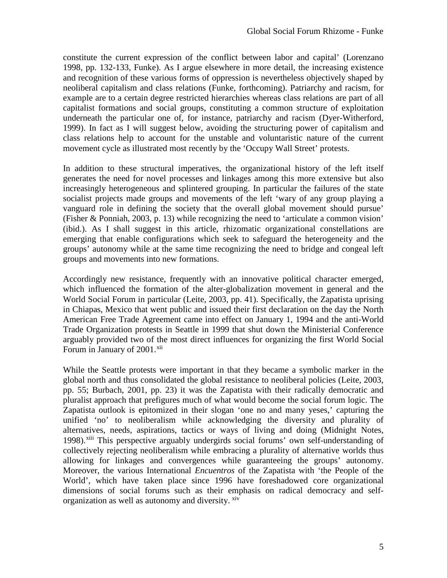<span id="page-5-1"></span>constitute the current expression of the conflict between labor and capital' (Lorenzano 1998, pp. 132-133, Funke). As I argue elsewhere in more detail, the increasing existence and recognition of these various forms of oppression is nevertheless objectively shaped by neoliberal capitalism and class relations (Funke, forthcoming). Patriarchy and racism, for example are to a certain degree restricted hierarchies whereas class relations are part of all capitalist formations and social groups, constituting a common structure of exploitation underneath the particular one of, for instance, patriarchy and racism (Dyer-Witherford, 1999). In fact as I will suggest below, avoiding the structuring power of capitalism and class relations help to account for the unstable and voluntaristic nature of the current movement cycle as illustrated most recently by the 'Occupy Wall Street' protests.

<span id="page-5-8"></span><span id="page-5-7"></span><span id="page-5-6"></span><span id="page-5-5"></span><span id="page-5-4"></span><span id="page-5-3"></span><span id="page-5-2"></span>In addition to these structural imperatives, the organizational history of the left itself generates the need for novel processes and linkages among this more extensive but also increasingly heterogeneous and splintered grouping. In particular the failures of the state socialist projects made groups and movements of the left 'wary of any group playing a vanguard role in defining the society that the overall global movement should pursue' (Fisher & Ponniah, 2003, p. 13) while recognizing the need to 'articulate a common vision' (ibid.). As I shall suggest in this article, rhizomatic organizational constellations are emerging that enable configurations which seek to safeguard the heterogeneity and the groups' autonomy while at the same time recognizing the need to bridge and congeal left groups and movements into new formations.

Accordingly new resistance, frequently with an innovative political character emerged, which influenced the formation of the alter-globalization movement in general and the World Social Forum in particular (Leite, 2003, pp. 41). Specifically, the Zapatista uprising in Chiapas, Mexico that went public and issued their first declaration on the day the North American Free Trade Agreement came into effect on January 1, 1994 and the anti-World Trade Organization protests in Seattle in 1999 that shut down the Ministerial Conference arguably provided two of the most direct influences for organizing the first World Social Forum in January of 2001.<sup>[xii](#page-6-2)</sup>

<span id="page-5-0"></span>While the Seattle protests were important in that they became a symbolic marker in the global north and thus consolidated the global resistance to neoliberal policies (Leite, 2003, pp. 55; Burbach, 2001, pp. 23) it was the Zapatista with their radically democratic and pluralist approach that prefigures much of what would become the social forum logic. The Zapatista outlook is epitomized in their slogan 'one no and many yeses,' capturing the unified 'no' to neoliberalism while acknowledging the diversity and plurality of alternatives, needs, aspirations, tactics or ways of living and doing (Midnight Notes, 1998).<sup>[xiii](#page-6-3)</sup> This perspective arguably undergirds social forums' own self-understanding of collectively rejecting neoliberalism while embracing a plurality of alternative worlds thus allowing for linkages and convergences while guaranteeing the groups' autonomy. Moreover, the various International *Encuentros* of the Zapatista with 'the People of the World', which have taken place since 1996 have foreshadowed core organizational dimensions of social forums such as their emphasis on radical democracy and selforganization as well as autonomy and diversity.  $x^i$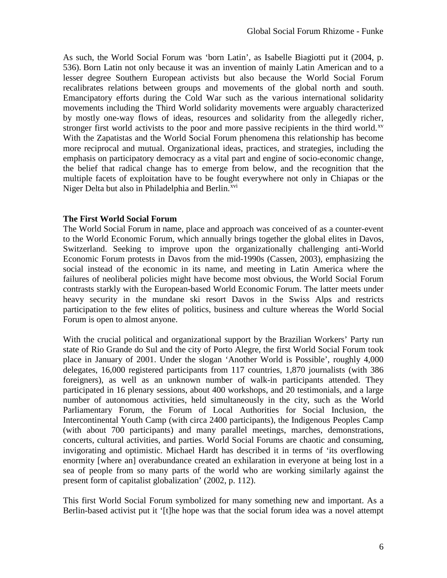As such, the World Social Forum was 'born Latin', as Isabelle Biagiotti put it (2004, p. 536). Born Latin not only because it was an invention of mainly Latin American and to a lesser degree Southern European activists but also because the World Social Forum recalibrates relations between groups and movements of the global north and south. Emancipatory efforts during the Cold War such as the various international solidarity movements including the Third World solidarity movements were arguably characterized by mostly one-way flows of ideas, resources and solidarity from the allegedly richer, stronger first world activists to the poor and more passive recipients in the third world.<sup>[xv](#page-7-0)</sup> With the Zapatistas and the World Social Forum phenomena this relationship has become more reciprocal and mutual. Organizational ideas, practices, and strategies, including the emphasis on participatory democracy as a vital part and engine of socio-economic change, the belief that radical change has to emerge from below, and the recognition that the multiple facets of exploitation have to be fought everywhere not only in Chiapas or the Niger Delta but also in Philadelphia and Berlin.<sup>[xvi](#page-7-1)</sup>

#### **The First World Social Forum**

<span id="page-6-0"></span>The World Social Forum in name, place and approach was conceived of as a counter-event to the World Economic Forum, which annually brings together the global elites in Davos, Switzerland. Seeking to improve upon the organizationally challenging anti-World Economic Forum protests in Davos from the mid-1990s (Cassen, 2003), emphasizing the social instead of the economic in its name, and meeting in Latin America where the failures of neoliberal policies might have become most obvious, the World Social Forum contrasts starkly with the European-based World Economic Forum. The latter meets under heavy security in the mundane ski resort Davos in the Swiss Alps and restricts participation to the few elites of politics, business and culture whereas the World Social Forum is open to almost anyone.

<span id="page-6-4"></span><span id="page-6-3"></span><span id="page-6-2"></span><span id="page-6-1"></span>With the crucial political and organizational support by the Brazilian Workers' Party run state of Rio Grande do Sul and the city of Porto Alegre, the first World Social Forum took place in January of 2001. Under the slogan 'Another World is Possible', roughly 4,000 delegates, 16,000 registered participants from 117 countries, 1,870 journalists (with 386 foreigners), as well as an unknown number of walk-in participants attended. They participated in 16 plenary sessions, about 400 workshops, and 20 testimonials, and a large number of autonomous activities, held simultaneously in the city, such as the World Parliamentary Forum, the Forum of Local Authorities for Social Inclusion, the Intercontinental Youth Camp (with circa 2400 participants), the Indigenous Peoples Camp (with about 700 participants) and many parallel meetings, marches, demonstrations, concerts, cultural activities, and parties. World Social Forums are chaotic and consuming, invigorating and optimistic. Michael Hardt has described it in terms of 'its overflowing enormity [where an] overabundance created an exhilaration in everyone at being lost in a sea of people from so many parts of the world who are working similarly against the present form of capitalist globalization' (2002, p. 112).

This first World Social Forum symbolized for many something new and important. As a Berlin-based activist put it '[t]he hope was that the social forum idea was a novel attempt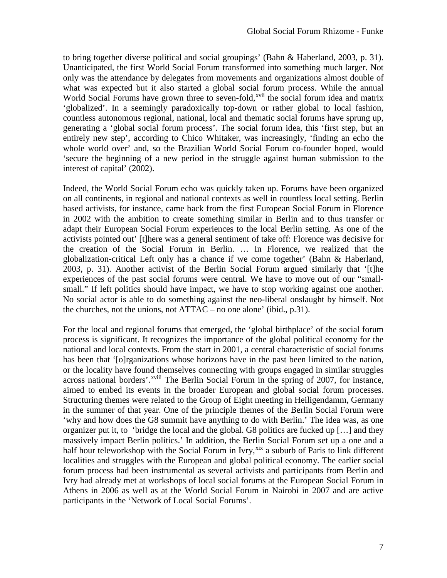to bring together diverse political and social groupings' (Bahn & Haberland, 2003, p. 31). Unanticipated, the first World Social Forum transformed into something much larger. Not only was the attendance by delegates from movements and organizations almost double of what was expected but it also started a global social forum process. While the annual World Social Forums have grown three to seven-fold, <sup>[xvii](#page-8-0)</sup> the social forum idea and matrix 'globalized'. In a seemingly paradoxically top-down or rather global to local fashion, countless autonomous regional, national, local and thematic social forums have sprung up, generating a 'global social forum process'. The social forum idea, this 'first step, but an entirely new step', according to Chico Whitaker, was increasingly, 'finding an echo the whole world over' and, so the Brazilian World Social Forum co-founder hoped, would 'secure the beginning of a new period in the struggle against human submission to the interest of capital' (2002).

Indeed, the World Social Forum echo was quickly taken up. Forums have been organized on all continents, in regional and national contexts as well in countless local setting. Berlin based activists, for instance, came back from the first European Social Forum in Florence in 2002 with the ambition to create something similar in Berlin and to thus transfer or adapt their European Social Forum experiences to the local Berlin setting. As one of the activists pointed out' [t]here was a general sentiment of take off: Florence was decisive for the creation of the Social Forum in Berlin. … In Florence, we realized that the globalization-critical Left only has a chance if we come together' (Bahn & Haberland, 2003, p. 31). Another activist of the Berlin Social Forum argued similarly that '[t]he experiences of the past social forums were central. We have to move out of our "smallsmall." If left politics should have impact, we have to stop working against one another. No social actor is able to do something against the neo-liberal onslaught by himself. Not the churches, not the unions, not ATTAC – no one alone' (ibid., p.31).

<span id="page-7-1"></span><span id="page-7-0"></span>For the local and regional forums that emerged, the 'global birthplace' of the social forum process is significant. It recognizes the importance of the global political economy for the national and local contexts. From the start in 2001, a central characteristic of social forums has been that '[o]rganizations whose horizons have in the past been limited to the nation, or the locality have found t[he](#page-8-1)mselves connecting with groups engaged in similar struggles across national borders'.<sup>xviii</sup> The Berlin Social Forum in the spring of 2007, for instance, aimed to embed its events in the broader European and global social forum processes. Structuring themes were related to the Group of Eight meeting in Heiligendamm, Germany in the summer of that year. One of the principle themes of the Berlin Social Forum were 'why and how does the G8 summit have anything to do with Berlin.' The idea was, as one organizer put it, to 'bridge the local and the global. G8 politics are fucked up […] and they massively impact Berlin politics.' In addition, the Berlin Social Forum set up a one and a half hour teleworkshop with the Social Forum in Ivry, [xix](#page-8-2) a suburb of Paris to link different localities and struggles with the European and global political economy. The earlier social forum process had been instrumental as several activists and participants from Berlin and Ivry had already met at workshops of local social forums at the European Social Forum in Athens in 2006 as well as at the World Social Forum in Nairobi in 2007 and are active participants in the 'Network of Local Social Forums'.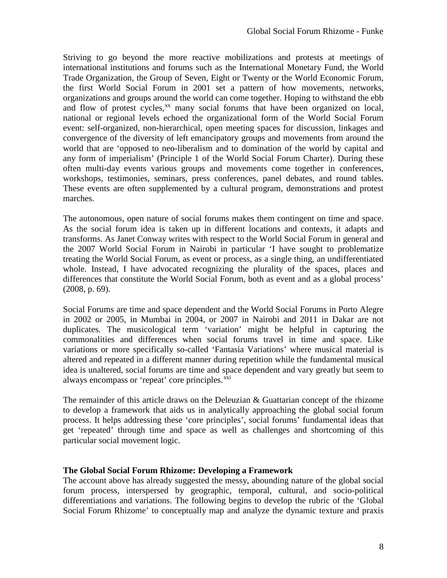Striving to go beyond the more reactive mobilizations and protests at meetings of international institutions and forums such as the International Monetary Fund, the World Trade Organization, the Group of Seven, Eight or Twenty or the World Economic Forum, the first World Social Forum in 2001 set a pattern of how movements, networks, organizations and groups around the world can come together. Hoping to withstand the ebb and flow of protest cycles,<sup>[xx](#page-9-0)</sup> many social forums that have been organized on local, national or regional levels echoed the organizational form of the World Social Forum event: self-organized, non-hierarchical, open meeting spaces for discussion, linkages and convergence of the diversity of left emancipatory groups and movements from around the world that are 'opposed to neo-liberalism and to domination of the world by capital and any form of imperialism' (Principle 1 of the World Social Forum Charter). During these often multi-day events various groups and movements come together in conferences, workshops, testimonies, seminars, press conferences, panel debates, and round tables. These events are often supplemented by a cultural program, demonstrations and protest marches.

The autonomous, open nature of social forums makes them contingent on time and space. As the social forum idea is taken up in different locations and contexts, it adapts and transforms. As Janet Conway writes with respect to the World Social Forum in general and the 2007 World Social Forum in Nairobi in particular 'I have sought to problematize treating the World Social Forum, as event or process, as a single thing, an undifferentiated whole. Instead, I have advocated recognizing the plurality of the spaces, places and differences that constitute the World Social Forum, both as event and as a global process' (2008, p. 69).

Social Forums are time and space dependent and the World Social Forums in Porto Alegre in 2002 or 2005, in Mumbai in 2004, or 2007 in Nairobi and 2011 in Dakar are not duplicates. The musicological term 'variation' might be helpful in capturing the commonalities and differences when social forums travel in time and space. Like variations or more specifically so-called 'Fantasia Variations' where musical material is altered and repeated in a different manner during repetition while the fundamental musical idea is unaltered, social forums are time and space dependent and vary greatly but seem to always encompass or 'repeat' core principles.<sup>[xxi](#page-9-1)</sup>

<span id="page-8-0"></span>The remainder of this article draws on the Deleuzian & Guattarian concept of the rhizome to develop a framework that aids us in analytically approaching the global social forum process. It helps addressing these 'core principles', social forums' fundamental ideas that get 'repeated' through time and space as well as challenges and shortcoming of this particular social movement logic.

# <span id="page-8-1"></span>**The Global Social Forum Rhizome: Developing a Framework**

<span id="page-8-2"></span>The account above has already suggested the messy, abounding nature of the global social forum process, interspersed by geographic, temporal, cultural, and socio-political differentiations and variations. The following begins to develop the rubric of the 'Global Social Forum Rhizome' to conceptually map and analyze the dynamic texture and praxis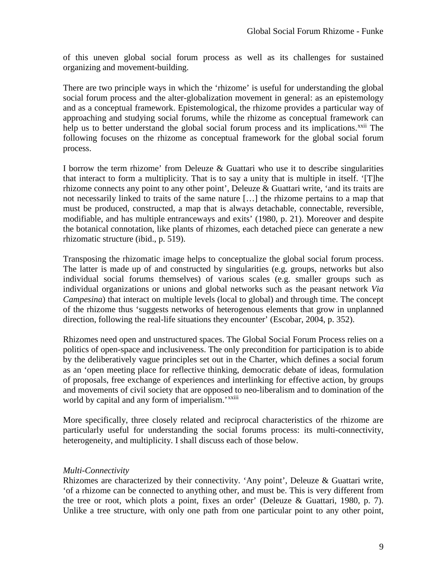of this uneven global social forum process as well as its challenges for sustained organizing and movement-building.

There are two principle ways in which the 'rhizome' is useful for understanding the global social forum process and the alter-globalization movement in general: as an epistemology and as a conceptual framework. Epistemological, the rhizome provides a particular way of approaching and studying social forums, while the rhizome as conceptual framework can help us to better understand the global social forum process and its implications.<sup>[xxii](#page-10-0)</sup> The following focuses on the rhizome as conceptual framework for the global social forum process.

I borrow the term rhizome' from Deleuze  $&$  Guattari who use it to describe singularities that interact to form a multiplicity. That is to say a unity that is multiple in itself. '[T]he rhizome connects any point to any other point', Deleuze & Guattari write, 'and its traits are not necessarily linked to traits of the same nature […] the rhizome pertains to a map that must be produced, constructed, a map that is always detachable, connectable, reversible, modifiable, and has multiple entranceways and exits' (1980, p. 21). Moreover and despite the botanical connotation, like plants of rhizomes, each detached piece can generate a new rhizomatic structure (ibid., p. 519).

Transposing the rhizomatic image helps to conceptualize the global social forum process. The latter is made up of and constructed by singularities (e.g. groups, networks but also individual social forums themselves) of various scales (e.g. smaller groups such as individual organizations or unions and global networks such as the peasant network *Via Campesina*) that interact on multiple levels (local to global) and through time. The concept of the rhizome thus 'suggests networks of heterogenous elements that grow in unplanned direction, following the real-life situations they encounter' (Escobar, 2004, p. 352).

Rhizomes need open and unstructured spaces. The Global Social Forum Process relies on a politics of open-space and inclusiveness. The only precondition for participation is to abide by the deliberatively vague principles set out in the Charter, which defines a social forum as an 'open meeting place for reflective thinking, democratic debate of ideas, formulation of proposals, free exchange of experiences and interlinking for effective action, by groups and movements of civil society that are opposed t[o](#page-10-1) neo-liberalism and to domination of the world by capital and any form of imperialism.'<sup>xxiii</sup>

More specifically, three closely related and reciprocal characteristics of the rhizome are particularly useful for understanding the social forums process: its multi-connectivity, heterogeneity, and multiplicity. I shall discuss each of those below.

#### *Multi-Connectivity*

<span id="page-9-1"></span><span id="page-9-0"></span>Rhizomes are characterized by their connectivity. 'Any point', Deleuze & Guattari write, 'of a rhizome can be connected to anything other, and must be. This is very different from the tree or root, which plots a point, fixes an order' (Deleuze & Guattari, 1980, p. 7). Unlike a tree structure, with only one path from one particular point to any other point,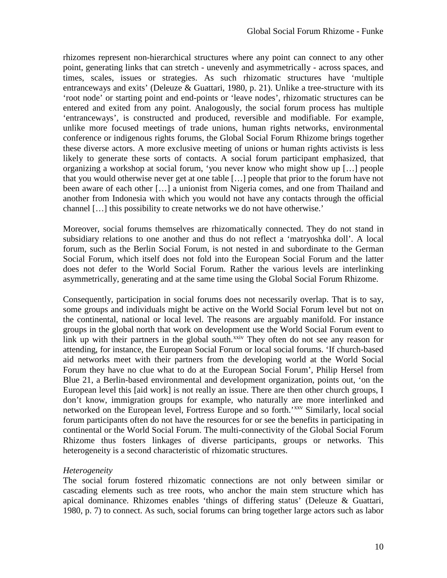<span id="page-10-1"></span>rhizomes represent non-hierarchical structures where any point can connect to any other point, generating links that can stretch - unevenly and asymmetrically - across spaces, and times, scales, issues or strategies. As such rhizomatic structures have 'multiple entranceways and exits' (Deleuze & Guattari, 1980, p. 21). Unlike a tree-structure with its 'root node' or starting point and end-points or 'leave nodes', rhizomatic structures can be entered and exited from any point. Analogously, the social forum process has multiple 'entranceways', is constructed and produced, reversible and modifiable. For example, unlike more focused meetings of trade unions, human rights networks, environmental conference or indigenous rights forums, the Global Social Forum Rhizome brings together these diverse actors. A more exclusive meeting of unions or human rights activists is less likely to generate these sorts of contacts. A social forum participant emphasized, that organizing a workshop at social forum, 'you never know who might show up […] people that you would otherwise never get at one table […] people that prior to the forum have not been aware of each other […] a unionist from Nigeria comes, and one from Thailand and another from Indonesia with which you would not have any contacts through the official channel […] this possibility to create networks we do not have otherwise.'

Moreover, social forums themselves are rhizomatically connected. They do not stand in subsidiary relations to one another and thus do not reflect a 'matryoshka doll'. A local forum, such as the Berlin Social Forum, is not nested in and subordinate to the German Social Forum, which itself does not fold into the European Social Forum and the latter does not defer to the World Social Forum. Rather the various levels are interlinking asymmetrically, generating and at the same time using the Global Social Forum Rhizome.

Consequently, participation in social forums does not necessarily overlap. That is to say, some groups and individuals might be active on the World Social Forum level but not on the continental, national or local level. The reasons are arguably manifold. For instance groups in the global north that work on development use the World Social Forum event to link up with their partners in the global south.<sup>[xxiv](#page-11-0)</sup> They often do not see any reason for attending, for instance, the European Social Forum or local social forums. 'If church-based aid networks meet with their partners from the developing world at the World Social Forum they have no clue what to do at the European Social Forum', Philip Hersel from Blue 21, a Berlin-based environmental and development organization, points out, 'on the European level this [aid work] is not really an issue. There are then other church groups, I don't know, immigration groups for example, who naturally are more interlinked and networked on the European level, Fortress Europe and so forth.'<sup>[xxv](#page-11-1)</sup> Similarly, local social forum participants often do not have the resources for or see the benefits in participating in continental or the World Social Forum. The multi-connectivity of the Global Social Forum Rhizome thus fosters linkages of diverse participants, groups or networks. This heterogeneity is a second characteristic of rhizomatic structures.

#### *Heterogeneity*

<span id="page-10-0"></span>The social forum fostered rhizomatic connections are not only between similar or cascading elements such as tree roots, who anchor the main stem structure which has apical dominance. Rhizomes enables 'things of differing status' (Deleuze & Guattari, 1980, p. 7) to connect. As such, social forums can bring together large actors such as labor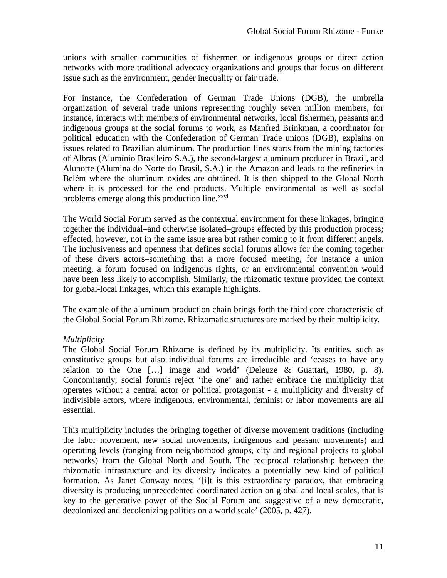unions with smaller communities of fishermen or indigenous groups or direct action networks with more traditional advocacy organizations and groups that focus on different issue such as the environment, gender inequality or fair trade.

<span id="page-11-1"></span><span id="page-11-0"></span>For instance, the Confederation of German Trade Unions (DGB), the umbrella organization of several trade unions representing roughly seven million members, for instance, interacts with members of environmental networks, local fishermen, peasants and indigenous groups at the social forums to work, as Manfred Brinkman, a coordinator for political education with the Confederation of German Trade unions (DGB), explains on issues related to Brazilian aluminum. The production lines starts from the mining factories of Albras (Alumínio Brasileiro S.A.), the second-largest aluminum producer in Brazil, and Alunorte (Alumina do Norte do Brasil, S.A.) in the Amazon and leads to the refineries in Belém where the aluminum oxides are obtained. It is then shipped to the Global North where it is processed for the end products. Multiple environmental as well as social problems emerge along this production line.<sup>[xxvi](#page-12-0)</sup>

The World Social Forum served as the contextual environment for these linkages, bringing together the individual–and otherwise isolated–groups effected by this production process; effected, however, not in the same issue area but rather coming to it from different angels. The inclusiveness and openness that defines social forums allows for the coming together of these divers actors–something that a more focused meeting, for instance a union meeting, a forum focused on indigenous rights, or an environmental convention would have been less likely to accomplish. Similarly, the rhizomatic texture provided the context for global-local linkages, which this example highlights.

The example of the aluminum production chain brings forth the third core characteristic of the Global Social Forum Rhizome. Rhizomatic structures are marked by their multiplicity.

# *Multiplicity*

The Global Social Forum Rhizome is defined by its multiplicity. Its entities, such as constitutive groups but also individual forums are irreducible and 'ceases to have any relation to the One […] image and world' (Deleuze & Guattari, 1980, p. 8). Concomitantly, social forums reject 'the one' and rather embrace the multiplicity that operates without a central actor or political protagonist - a multiplicity and diversity of indivisible actors, where indigenous, environmental, feminist or labor movements are all essential.

This multiplicity includes the bringing together of diverse movement traditions (including the labor movement, new social movements, indigenous and peasant movements) and operating levels (ranging from neighborhood groups, city and regional projects to global networks) from the Global North and South. The reciprocal relationship between the rhizomatic infrastructure and its diversity indicates a potentially new kind of political formation. As Janet Conway notes, '[i]t is this extraordinary paradox, that embracing diversity is producing unprecedented coordinated action on global and local scales, that is key to the generative power of the Social Forum and suggestive of a new democratic, decolonized and decolonizing politics on a world scale' (2005, p. 427).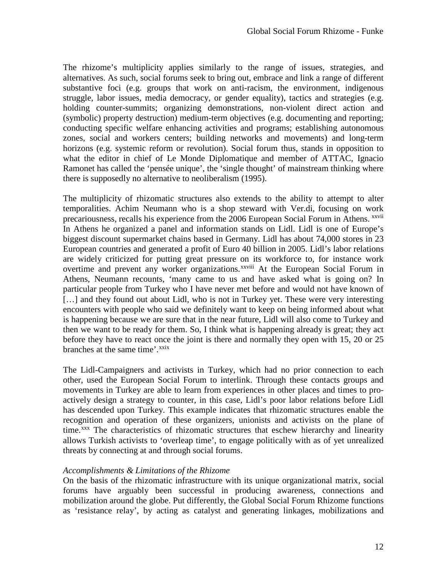<span id="page-12-1"></span><span id="page-12-0"></span>The rhizome's multiplicity applies similarly to the range of issues, strategies, and alternatives. As such, social forums seek to bring out, embrace and link a range of different substantive foci (e.g. groups that work on anti-racism, the environment, indigenous struggle, labor issues, media democracy, or gender equality), tactics and strategies (e.g. holding counter-summits; organizing demonstrations, non-violent direct action and (symbolic) property destruction) medium-term objectives (e.g. documenting and reporting; conducting specific welfare enhancing activities and programs; establishing autonomous zones, social and workers centers; building networks and movements) and long-term horizons (e.g. systemic reform or revolution). Social forum thus, stands in opposition to what the editor in chief of Le Monde Diplomatique and member of ATTAC, Ignacio Ramonet has called the 'pensée unique', the 'single thought' of mainstream thinking where there is supposedly no alternative to neoliberalism (1995).

<span id="page-12-4"></span><span id="page-12-3"></span><span id="page-12-2"></span>The multiplicity of rhizomatic structures also extends to the ability to attempt to alter temporalities. Achim Neumann who is a shop steward with Ver.di, focusing on work precariousness, recalls his experience from the 2006 European Social Forum in Athens. <sup>xxvii</sup> overt[i](#page-12-2)me and prevent any worker organizations.<sup>xxviii</sup> At the European Social Forum in In Athens he organized a panel and information stands on Lidl. Lidl is one of Europe's biggest discount supermarket chains based in Germany. Lidl has about 74,000 stores in 23 European countries and generated a profit of Euro 40 billion in 2005. Lidl's labor relations are widely criticized for putting great pressure on its workforce to, for instance work Athens, Neumann recounts, 'many came to us and have asked what is going on? In particular people from Turkey who I have never met before and would not have known of [...] and they found out about Lidl, who is not in Turkey yet. These were very interesting encounters with people who said we definitely want to keep on being informed about what is happening because we are sure that in the near future, Lidl will also come to Turkey and then we want to be ready for them. So, I think what is happening already is great; they act before they have to react once the joint is there and normally they open with 15, 20 or 25 branches at the same time'.<sup>[xxix](#page-12-3)</sup>

The Lidl-Campaigners and activists in Turkey, which had no prior connection to each other, used the European Social Forum to interlink. Through these contacts groups and movements in Turkey are able to learn from experiences in other places and times to proactively design a strategy to counter, in this case, Lidl's poor labor relations before Lidl has descended upon Turkey. This example indicates that rhizomatic structures enable the recognition and operation of these organizers, unionists and activists on the plane of time.<sup>[xxx](#page-12-4)</sup> The characteristics of rhizomatic structures that eschew hierarchy and linearity allows Turkish activists to 'overleap time', to engage politically with as of yet unrealized threats by connecting at and through social forums.

#### *Accomplishments & Limitations of the Rhizome*

On the basis of the rhizomatic infrastructure with its unique organizational matrix, social forums have arguably been successful in producing awareness, connections and mobilization around the globe. Put differently, the Global Social Forum Rhizome functions as 'resistance relay', by acting as catalyst and generating linkages, mobilizations and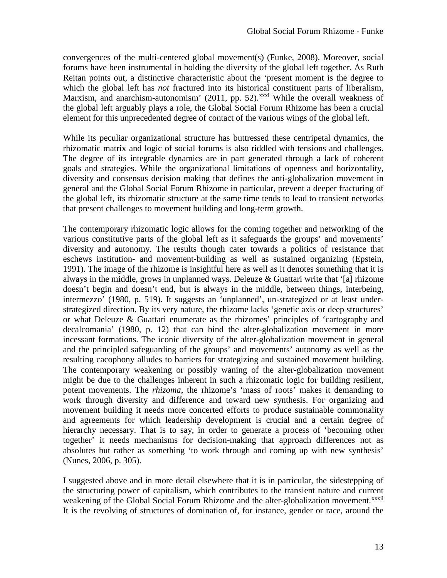convergences of the multi-centered global movement(s) (Funke, 2008). Moreover, social forums have been instrumental in holding the diversity of the global left together. As Ruth Reitan points out, a distinctive characteristic about the 'present moment is the degree to which the global left has *not* fractured into its historical constituent parts of liberalism, Marxism, and anarchism-autonomism' (2011, pp. 52).<sup>[xxxi](#page-13-0)</sup> While the overall weakness of the global left arguably plays a role, the Global Social Forum Rhizome has been a crucial element for this unprecedented degree of contact of the various wings of the global left.

<span id="page-13-0"></span>While its peculiar organizational structure has buttressed these centripetal dynamics, the rhizomatic matrix and logic of social forums is also riddled with tensions and challenges. The degree of its integrable dynamics are in part generated through a lack of coherent goals and strategies. While the organizational limitations of openness and horizontality, diversity and consensus decision making that defines the anti-globalization movement in general and the Global Social Forum Rhizome in particular, prevent a deeper fracturing of the global left, its rhizomatic structure at the same time tends to lead to transient networks that present challenges to movement building and long-term growth.

<span id="page-13-1"></span>The contemporary rhizomatic logic allows for the coming together and networking of the various constitutive parts of the global left as it safeguards the groups' and movements' diversity and autonomy. The results though cater towards a politics of resistance that eschews institution- and movement-building as well as sustained organizing (Epstein, 1991). The image of the rhizome is insightful here as well as it denotes something that it is always in the middle, grows in unplanned ways. Deleuze & Guattari write that '[a] rhizome doesn't begin and doesn't end, but is always in the middle, between things, interbeing, intermezzo' (1980, p. 519). It suggests an 'unplanned', un-strategized or at least understrategized direction. By its very nature, the rhizome lacks 'genetic axis or deep structures' or what Deleuze & Guattari enumerate as the rhizomes' principles of 'cartography and decalcomania' (1980, p. 12) that can bind the alter-globalization movement in more incessant formations. The iconic diversity of the alter-globalization movement in general and the principled safeguarding of the groups' and movements' autonomy as well as the resulting cacophony alludes to barriers for strategizing and sustained movement building. The contemporary weakening or possibly waning of the alter-globalization movement might be due to the challenges inherent in such a rhizomatic logic for building resilient, potent movements. The *rhizoma*, the rhizome's 'mass of roots' makes it demanding to work through diversity and difference and toward new synthesis. For organizing and movement building it needs more concerted efforts to produce sustainable commonality and agreements for which leadership development is crucial and a certain degree of hierarchy necessary. That is to say, in order to generate a process of 'becoming other together' it needs mechanisms for decision-making that approach differences not as absolutes but rather as something 'to work through and coming up with new synthesis' (Nunes, 2006, p. 305).

I suggested above and in more detail elsewhere that it is in particular, the sidestepping of the structuring power of capitalism, which contributes to the transient nature and current weakening of the Global Social Forum Rhizome and the alter-globalization movement.<sup>xxxii</sup> It is the revolving of structures of domination of, for instance, gender or race, around the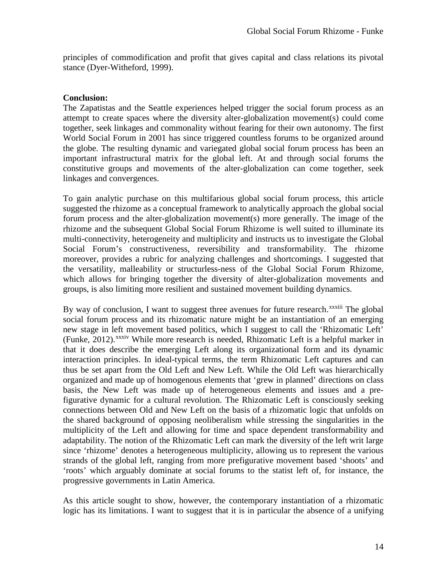principles of commodification and profit that gives capital and class relations its pivotal stance (Dyer-Witheford, 1999).

#### **Conclusion:**

The Zapatistas and the Seattle experiences helped trigger the social forum process as an attempt to create spaces where the diversity alter-globalization movement(s) could come together, seek linkages and commonality without fearing for their own autonomy. The first World Social Forum in 2001 has since triggered countless forums to be organized around the globe. The resulting dynamic and variegated global social forum process has been an important infrastructural matrix for the global left. At and through social forums the constitutive groups and movements of the alter-globalization can come together, seek linkages and convergences.

<span id="page-14-0"></span>To gain analytic purchase on this multifarious global social forum process, this article suggested the rhizome as a conceptual framework to analytically approach the global social forum process and the alter-globalization movement(s) more generally. The image of the rhizome and the subsequent Global Social Forum Rhizome is well suited to illuminate its multi-connectivity, heterogeneity and multiplicity and instructs us to investigate the Global Social Forum's constructiveness, reversibility and transformability. The rhizome moreover, provides a rubric for analyzing challenges and shortcomings. I suggested that the versatility, malleability or structurless-ness of the Global Social Forum Rhizome, which allows for bringing together the diversity of alter-globalization movements and groups, is also limiting more resilient and sustained movement building dynamics.

By way of conclusion, I want to suggest three avenues for future research.<sup>xxxiii</sup> The global (Funke, 2012). XXXIV While more research is needed, Rhizomatic Left is a helpful marker in social forum process and its rhizomatic nature might be an instantiation of an emerging new stage in left [m](#page-14-0)ovement based politics, which I suggest to call the 'Rhizomatic Left' that it does describe the emerging Left along its organizational form and its dynamic interaction principles. In ideal-typical terms, the term Rhizomatic Left captures and can thus be set apart from the Old Left and New Left. While the Old Left was hierarchically organized and made up of homogenous elements that 'grew in planned' directions on class basis, the New Left was made up of heterogeneous elements and issues and a prefigurative dynamic for a cultural revolution. The Rhizomatic Left is consciously seeking connections between Old and New Left on the basis of a rhizomatic logic that unfolds on the shared background of opposing neoliberalism while stressing the singularities in the multiplicity of the Left and allowing for time and space dependent transformability and adaptability. The notion of the Rhizomatic Left can mark the diversity of the left writ large since 'rhizome' denotes a heterogeneous multiplicity, allowing us to represent the various strands of the global left, ranging from more prefigurative movement based 'shoots' and 'roots' which arguably dominate at social forums to the statist left of, for instance, the progressive governments in Latin America.

As this article sought to show, however, the contemporary instantiation of a rhizomatic logic has its limitations. I want to suggest that it is in particular the absence of a unifying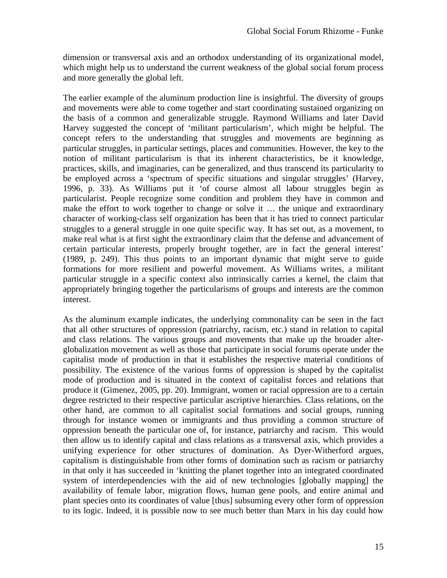dimension or transversal axis and an orthodox understanding of its organizational model, which might help us to understand the current weakness of the global social forum process and more generally the global left.

The earlier example of the aluminum production line is insightful. The diversity of groups and movements were able to come together and start coordinating sustained organizing on the basis of a common and generalizable struggle. Raymond Williams and later David Harvey suggested the concept of 'militant particularism', which might be helpful. The concept refers to the understanding that struggles and movements are beginning as particular struggles, in particular settings, places and communities. However, the key to the notion of militant particularism is that its inherent characteristics, be it knowledge, practices, skills, and imaginaries, can be generalized, and thus transcend its particularity to be employed across a 'spectrum of specific situations and singular struggles' (Harvey, 1996, p. 33). As Williams put it 'of course almost all labour struggles begin as particularist. People recognize some condition and problem they have in common and make the effort to work together to change or solve it … the unique and extraordinary character of working-class self organization has been that it has tried to connect particular struggles to a general struggle in one quite specific way. It has set out, as a movement, to make real what is at first sight the extraordinary claim that the defense and advancement of certain particular interests, properly brought together, are in fact the general interest' (1989, p. 249). This thus points to an important dynamic that might serve to guide formations for more resilient and powerful movement. As Williams writes, a militant particular struggle in a specific context also intrinsically carries a kernel, the claim that appropriately bringing together the particularisms of groups and interests are the common interest.

As the aluminum example indicates, the underlying commonality can be seen in the fact that all other structures of oppression (patriarchy, racism, etc.) stand in relation to capital and class relations. The various groups and movements that make up the broader alterglobalization movement as well as those that participate in social forums operate under the capitalist mode of production in that it establishes the respective material conditions of possibility. The existence of the various forms of oppression is shaped by the capitalist mode of production and is situated in the context of capitalist forces and relations that produce it (Gimenez, 2005, pp. 20). Immigrant, women or racial oppression are to a certain degree restricted to their respective particular ascriptive hierarchies. Class relations, on the other hand, are common to all capitalist social formations and social groups, running through for instance women or immigrants and thus providing a common structure of oppression beneath the particular one of, for instance, patriarchy and racism. This would then allow us to identify capital and class relations as a transversal axis, which provides a unifying experience for other structures of domination. As Dyer-Witherford argues, capitalism is distinguishable from other forms of domination such as racism or patriarchy in that only it has succeeded in 'knitting the planet together into an integrated coordinated system of interdependencies with the aid of new technologies [globally mapping] the availability of female labor, migration flows, human gene pools, and entire animal and plant species onto its coordinates of value [thus] subsuming every other form of oppression to its logic. Indeed, it is possible now to see much better than Marx in his day could how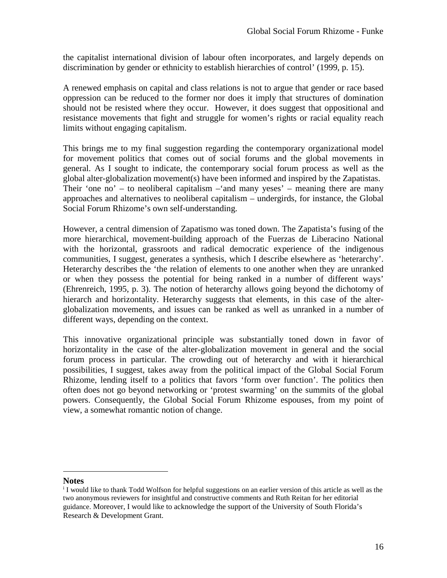the capitalist international division of labour often incorporates, and largely depends on discrimination by gender or ethnicity to establish hierarchies of control' (1999, p. 15).

A renewed emphasis on capital and class relations is not to argue that gender or race based oppression can be reduced to the former nor does it imply that structures of domination should not be resisted where they occur. However, it does suggest that oppositional and resistance movements that fight and struggle for women's rights or racial equality reach limits without engaging capitalism.

This brings me to my final suggestion regarding the contemporary organizational model for movement politics that comes out of social forums and the global movements in general. As I sought to indicate, the contemporary social forum process as well as the global alter-globalization movement(s) have been informed and inspired by the Zapatistas. Their 'one no' – to neoliberal capitalism  $-\text{and}$  many yeses' – meaning there are many approaches and alternatives to neoliberal capitalism – undergirds, for instance, the Global Social Forum Rhizome's own self-understanding.

However, a central dimension of Zapatismo was toned down. The Zapatista's fusing of the more hierarchical, movement-building approach of the Fuerzas de Liberacino National with the horizontal, grassroots and radical democratic experience of the indigenous communities, I suggest, generates a synthesis, which I describe elsewhere as 'heterarchy'. Heterarchy describes the 'the relation of elements to one another when they are unranked or when they possess the potential for being ranked in a number of different ways' (Ehrenreich, 1995, p. 3). The notion of heterarchy allows going beyond the dichotomy of hierarch and horizontality. Heterarchy suggests that elements, in this case of the alterglobalization movements, and issues can be ranked as well as unranked in a number of different ways, depending on the context.

This innovative organizational principle was substantially toned down in favor of horizontality in the case of the alter-globalization movement in general and the social forum process in particular. The crowding out of heterarchy and with it hierarchical possibilities, I suggest, takes away from the political impact of the Global Social Forum Rhizome, lending itself to a politics that favors 'form over function'. The politics then often does not go beyond networking or 'protest swarming' on the summits of the global powers. Consequently, the Global Social Forum Rhizome espouses, from my point of view, a somewhat romantic notion of change.

**Notes**

<sup>i</sup> I would like to thank Todd Wolfson for helpful suggestions on an earlier version of this article as well as the two anonymous reviewers for insightful and constructive comments and Ruth Reitan for her editorial guidance. Moreover, I would like to acknowledge the support of the University of South Florida's Research & Development Grant.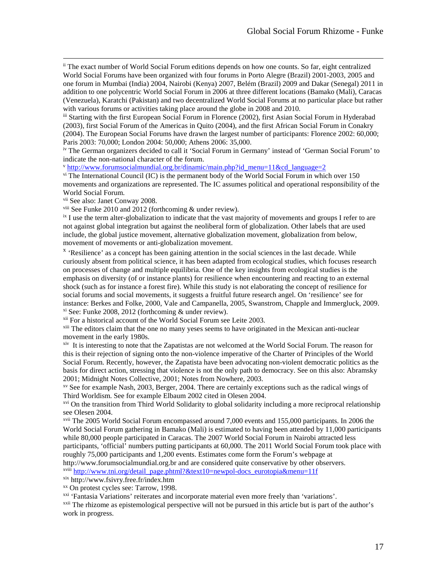ii The exact number of World Social Forum editions depends on how one counts. So far, eight centralized World Social Forums have been organized with four forums in Porto Alegre (Brazil) 2001-2003, 2005 and one forum in Mumbai (India) 2004, Nairobi (Kenya) 2007, Belém (Brazil) 2009 and Dakar (Senegal) 2011 in addition to one polycentric World Social Forum in 2006 at three different locations (Bamako (Mali), Caracas (Venezuela), Karatchi (Pakistan) and two decentralized World Social Forums at no particular place but rather with various forums or activities taking place around the globe in 2008 and 2010.

iii Starting with the first European Social Forum in Florence (2002), first Asian Social Forum in Hyderabad (2003), first Social Forum of the Americas in Quito (2004), and the first African Social Forum in Conakry (2004). The European Social Forums have drawn the largest number of participants: Florence 2002: 60,000; Paris 2003: 70,000; London 2004: 50,000; Athens 2006: 35,000.

iv The German organizers decided to call it 'Social Forum in Germany' instead of 'German Social Forum' to indicate the non-national character of the forum.

<sup>v</sup> [http://www.forumsocialmundial.org.br/dinamic/main.php?id\\_menu=11&cd\\_language=2](http://www.forumsocialmundial.org.br/dinamic/main.php?id_menu=11&cd_language=2)

 $\overline{v}$  The International Council (IC) is the permanent body of the World Social Forum in which over 150 movements and organizations are represented. The IC assumes political and operational responsibility of the World Social Forum.

vii See also: Janet Conway 2008.

viii See Funke 2010 and 2012 (forthcoming & under review).

<sup>ix</sup> I use the term alter-globalization to indicate that the vast majority of movements and groups I refer to are not against global integration but against the neoliberal form of globalization. Other labels that are used include, the global justice movement, alternative globalization movement, globalization from below,

 $x$  'Resilience' as a concept has been gaining attention in the social sciences in the last decade. While curiously absent from political science, it has been adapted from ecological studies, which focuses research on processes of change and multiple equilibria. One of the key insights from ecological studies is the emphasis on diversity (of or instance plants) for resilience when encountering and reacting to an external shock (such as for instance a forest fire). While this study is not elaborating the concept of resilience for social forums and social movements, it suggests a fruitful future research angel. On 'resilience' see for instance: Berkes and Folke, 2000, Vale and Campanella, 2005, Swanstrom, Chapple and Immergluck, 2009. xi See: Funke 2008, 2012 (forthcoming & under review).

<sup>xii</sup> For a historical account of the World Social Forum see Leite 2003.

xiii The editors claim that the one no many yeses seems to have originated in the Mexican anti-nuclear movement in the early 1980s.

xiv It is interesting to note that the Zapatistas are not welcomed at the World Social Forum. The reason for this is their rejection of signing onto the non-violence imperative of the Charter of Principles of the World Social Forum. Recently, however, the Zapatista have been advocating non-violent democratic politics as the basis for direct action, stressing that violence is not the only path to democracy. See on this also: Abramsky 2001; Midnight Notes Collective, 2001; Notes from Nowhere, 2003.

xv See for example Nash, 2003, Berger, 2004. There are certainly exceptions such as the radical wings of Third Worldism. See for example Elbaum 2002 cited in Olesen 2004.

xvi On the transition from Third World Solidarity to global solidarity including a more reciprocal relationship see Olesen 2004.

xvii The 2005 World Social Forum encompassed around 7,000 events and 155,000 participants. In 2006 the World Social Forum gathering in Bamako (Mali) is estimated to having been attended by 11,000 participants while 80,000 people participated in Caracas. The 2007 World Social Forum in Nairobi attracted less participants, 'official' numbers putting participants at 60,000. The 2011 World Social Forum took place with roughly 75,000 participants and 1,200 events. Estimates come form the Forum's webpage at http://www.forumsocialmundial.org.br and are considered quite conservative by other observers.

xviii [http://www.tni.org/detail\\_page.phtml?&text10=newpol-docs\\_eurotopia&menu=11f](http://www.tni.org/detail_page.phtml?&text10=newpol-docs_eurotopia&menu=11f)

xix http://www.fsivry.free.fr/index.htm

xx On protest cycles see: Tarrow, 1998.

xxi 'Fantasia Variations' reiterates and incorporate material even more freely than 'variations'.

<sup>xxii</sup> The rhizome as epistemological perspective will not be pursued in this article but is part of the author's work in progress.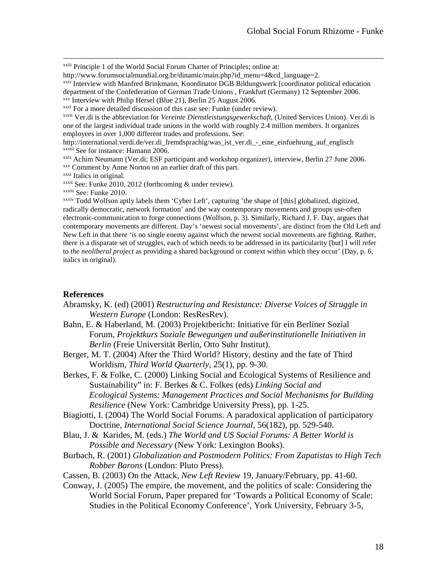xxiii Principle 1 of the World Social Forum Charter of Principles; online at:

http://www.forumsocialmundial.org.br/dinamic/main.php?id\_menu=4&cd\_language=2.

xxiv Interview with Manfred Brinkmann, Koordinator DGB Bildungswerk [coordinator political education department of the Confederation of German Trade Unions , Frankfurt (Germany) 12 September 2006.

xxvii Ver.di is the abbreviation for *Vereinte Dienstleistungsgewerkschaft*, (United Services Union). Ver.di is one of the largest individual trade unions in the world with roughly 2.4 million members. It organizes employees in over 1,000 different trades and professions. See:

http://international.verdi.de/ver.di fremdsprachig/was ist ver.di - eine einfuehrung auf englisch xxviii See for instance: Hamann 2006.

xxix Achim Neumann (Ver.di; ESF participant and workshop organizer), interview, Berlin 27 June 2006. xxx Comment by Anne Norton on an earlier draft of this part.

xxxi Italics in original. xxxii See: Funke 2010, 2012 (forthcoming & under review).

xxxiii See: Funke 2010.

xxxiv Todd Wolfson aptly labels them 'Cyber Left', capturing 'the shape of [this] globalized, digitized, radically democratic, network formation' and the way contemporary movements and groups use-often electronic-communication to forge connections (Wolfson, p. 3). Similarly, Richard J. F. Day, argues that contemporary movements are different. Day's 'newest social movements', are distinct from the Old Left and New Left in that there 'is no single enemy against which the newest social movements are fighting. Rather, there is a disparate set of struggles, each of which needs to be addressed in its particularity [but] I will refer to *the neoliberal project* as providing a shared background or context within which they occur' (Day, p. 6, italics in original).

#### **References**

Abramsky, K. (ed) (2001) *Restructuring and Resistance: Diverse Voices of Struggle in Western Europe* (London: ResResRev).

- Bahn, E. & Haberland, M. (2003) Projektbericht: Initiative für ein Berliner Sozial Forum, *Projektkurs Soziale Bewegungen und außerinstitutionelle Initiativen in Berlin* (Freie Universität Berlin, Otto Suhr Institut).
- Berger, M. T. (2004) After the Third World? History, destiny and the fate of Third Worldism, *Third World Quarterly*, 25(1), pp. 9-30.

Berkes, F. & Folke, C. (2000) Linking Social and Ecological Systems of Resilience and Sustainability" in: F. Berkes & C. Folkes (eds) *Linking Social and Ecological Systems: Management Practices and Social Mechanisms for Building Resilience* (New York: Cambridge University Press), pp. 1-25.

- Biagiotti, I. (2004) The World Social Forums. A paradoxical application of participatory Doctrine, *International Social Science Journal*, 56(182), pp. 529-540.
- Blau, J. & Karides, M. (eds.) *The World and US Social Forums: A Better World is Possible and Necessary* (New York: Lexington Books).

Burbach, R. (2001) *Globalization and Postmodern Politics: From Zapatistas to High Tech Robber Barons* (London: Pluto Press).

Cassen, B. (2003) On the Attack, *New Left Review* 19, January/February, pp. 41-60.

Conway, J. (2005) The empire, the movement, and the politics of scale: Considering the World Social Forum, Paper prepared for 'Towards a Political Economy of Scale: Studies in the Political Economy Conference', York University, February 3-5,

xxv Interview with Philip Hersel (Blue 21), Berlin 25 August 2006.

xxvi For a more detailed discussion of this case see: Funke (under review).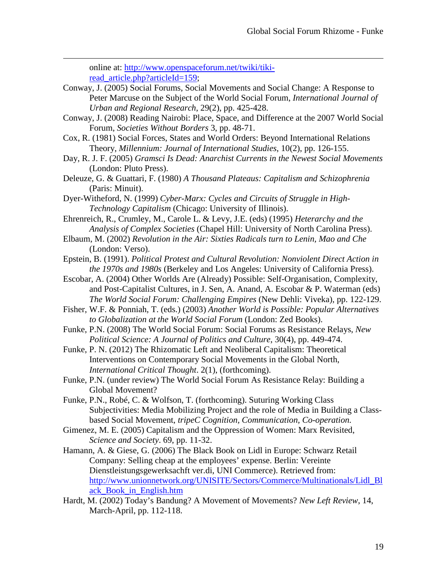online at: [http://www.openspaceforum.net/twiki/tiki](http://www.openspaceforum.net/twiki/tiki-read_article.php?articleId=159)read article.php?articleId=159;

- Conway, J. (2005) Social Forums, Social Movements and Social Change: A Response to Peter Marcuse on the Subject of the World Social Forum, *International Journal of Urban and Regional Research*, 29(2), pp. 425-428.
- Conway, J. (2008) Reading Nairobi: Place, Space, and Difference at the 2007 World Social Forum, *Societies Without Borders* 3, pp. 48-71.
- Cox, R. (1981) Social Forces, States and World Orders: Beyond International Relations Theory, *Millennium: Journal of International Studies*, 10(2), pp. 126-155.
- Day, R. J. F. (2005) *Gramsci Is Dead: Anarchist Currents in the Newest Social Movements* (London: Pluto Press).
- Deleuze, G. & Guattari, F. (1980) *A Thousand Plateaus: Capitalism and Schizophrenia* (Paris: Minuit).
- Dyer-Witheford, N. (1999) *Cyber-Marx: Cycles and Circuits of Struggle in High-Technology Capitalism* (Chicago: University of Illinois).
- Ehrenreich, R., Crumley, M., Carole L. & Levy, J.E. (eds) (1995) *Heterarchy and the Analysis of Complex Societies* (Chapel Hill: University of North Carolina Press).
- Elbaum, M. (2002) *Revolution in the Air: Sixties Radicals turn to Lenin, Mao and Che* (London: Verso).
- Epstein, B. (1991). *Political Protest and Cultural Revolution: Nonviolent Direct Action in the 1970s and 1980s* (Berkeley and Los Angeles: University of California Press).
- Escobar, A. (2004) Other Worlds Are (Already) Possible: Self-Organisation, Complexity, and Post-Capitalist Cultures, in J. Sen, A. Anand, A. Escobar & P. Waterman (eds) *The World Social Forum: Challenging Empires* (New Dehli: Viveka), pp. 122-129.
- Fisher, W.F. & Ponniah, T. (eds.) (2003) *Another World is Possible: Popular Alternatives to Globalization at the World Social Forum* (London: Zed Books).
- Funke, P.N. (2008) The World Social Forum: Social Forums as Resistance Relays, *New Political Science: A Journal of Politics and Culture*, 30(4), pp. 449-474.
- Funke, P. N. (2012) The Rhizomatic Left and Neoliberal Capitalism: Theoretical Interventions on Contemporary Social Movements in the Global North, *International Critical Thought*. 2(1), (forthcoming).
- Funke, P.N. (under review) The World Social Forum As Resistance Relay: Building a Global Movement?
- Funke, P.N., Robé, C. & Wolfson, T. (forthcoming). Suturing Working Class Subjectivities: Media Mobilizing Project and the role of Media in Building a Classbased Social Movement, *tripeC Cognition, Communication, Co-operation.*
- Gimenez, M. E. (2005) Capitalism and the Oppression of Women: Marx Revisited, *Science and Society*. 69, pp. 11-32.
- Hamann, A. & Giese, G. (2006) The Black Book on Lidl in Europe: Schwarz Retail Company: Selling cheap at the employees' expense. Berlin: Vereinte Dienstleistungsgewerksachft ver.di, UNI Commerce). Retrieved from: [http://www.unionnetwork.org/UNISITE/Sectors/Commerce/Multinationals/Lidl\\_Bl](http://www.unionnetwork.org/UNISITE/Sectors/Commerce/Multinationals/Lidl_Black_Book_in_English.htm) [ack\\_Book\\_in\\_English.htm](http://www.unionnetwork.org/UNISITE/Sectors/Commerce/Multinationals/Lidl_Black_Book_in_English.htm)
- Hardt, M. (2002) Today's Bandung? A Movement of Movements? *New Left Review*, 14, March-April, pp. 112-118.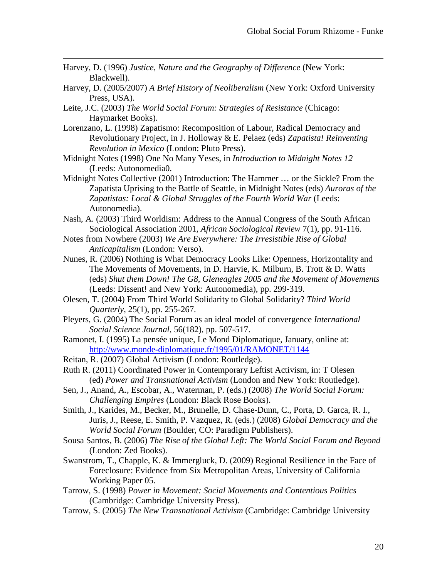Harvey, D. (1996) *Justice, Nature and the Geography of Difference* (New York: Blackwell).

- Harvey, D. (2005/2007) *A Brief History of Neoliberalism* (New York: Oxford University Press, USA).
- Leite, J.C. (2003) *The World Social Forum: Strategies of Resistance* (Chicago: Haymarket Books).
- Lorenzano, L. (1998) Zapatismo: Recomposition of Labour, Radical Democracy and Revolutionary Project, in J. Holloway & E. Pelaez (eds) *Zapatista! Reinventing Revolution in Mexico* (London: Pluto Press).
- Midnight Notes (1998) One No Many Yeses, in *Introduction to Midnight Notes 12* (Leeds: Autonomedia0.
- Midnight Notes Collective (2001) Introduction: The Hammer … or the Sickle? From the Zapatista Uprising to the Battle of Seattle, in Midnight Notes (eds) *Auroras of the Zapatistas: Local & Global Struggles of the Fourth World War* (Leeds: Autonomedia).
- Nash, A. (2003) Third Worldism: Address to the Annual Congress of the South African Sociological Association 2001, *African Sociological Review* 7(1), pp. 91-116.
- Notes from Nowhere (2003) *We Are Everywhere: The Irresistible Rise of Global Anticapitalism* (London: Verso).
- Nunes, R. (2006) Nothing is What Democracy Looks Like: Openness, Horizontality and The Movements of Movements, in D. Harvie, K. Milburn, B. Trott & D. Watts (eds) *Shut them Down! The G8, Gleneagles 2005 and the Movement of Movements* (Leeds: Dissent! and New York: Autonomedia), pp. 299-319.
- Olesen, T. (2004) From Third World Solidarity to Global Solidarity? *Third World Quarterly*, 25(1), pp. 255-267.
- Pleyers, G. (2004) The Social Forum as an ideal model of convergence *International Social Science Journal*, 56(182), pp. 507-517.
- Ramonet, I. (1995) La pensée unique, Le Mond Diplomatique, January, online at: <http://www.monde-diplomatique.fr/1995/01/RAMONET/1144>
- Reitan, R. (2007) Global Activism (London: Routledge).
- Ruth R. (2011) Coordinated Power in Contemporary Leftist Activism, in: T Olesen (ed) *Power and Transnational Activism* (London and New York: Routledge).
- Sen, J., Anand, A., Escobar, A., Waterman, P. (eds.) (2008) *The World Social Forum: Challenging Empires* (London: Black Rose Books).
- Smith, J., Karides, M., Becker, M., Brunelle, D. Chase-Dunn, C., Porta, D. Garca, R. I., Juris, J., Reese, E. Smith, P. Vazquez, R. (eds.) (2008) *Global Democracy and the World Social Forum* (Boulder, CO: Paradigm Publishers).
- Sousa Santos, B. (2006) *The Rise of the Global Left: The World Social Forum and Beyond* (London: Zed Books).
- Swanstrom, T., Chapple, K. & Immergluck, D. (2009) Regional Resilience in the Face of Foreclosure: Evidence from Six Metropolitan Areas, University of California Working Paper 05.
- Tarrow, S. (1998) *Power in Movement: Social Movements and Contentious Politics* (Cambridge: Cambridge University Press).
- Tarrow, S. (2005) *The New Transnational Activism* (Cambridge: Cambridge University